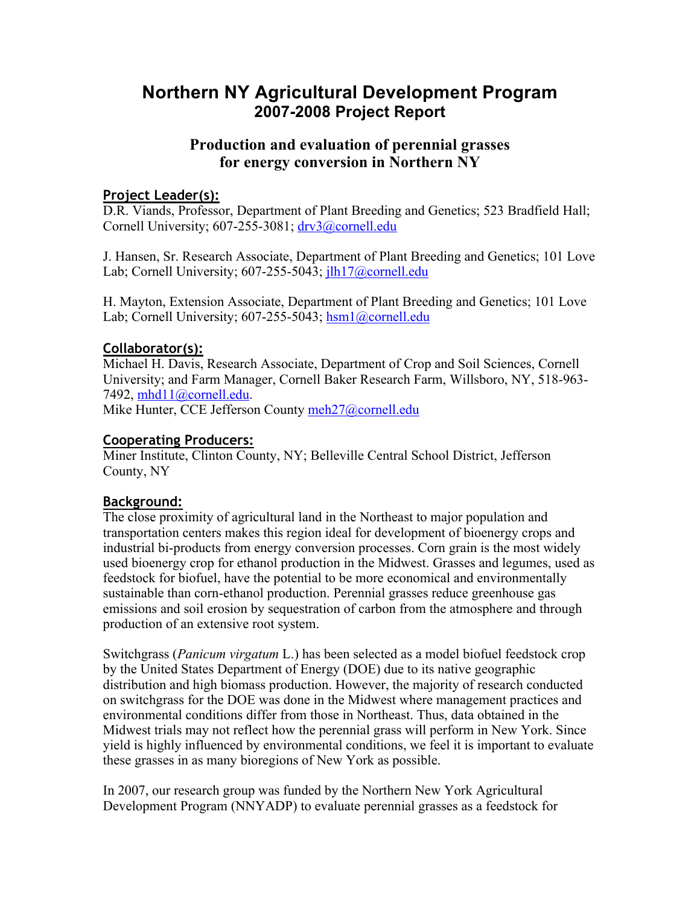# **Northern NY Agricultural Development Program 2007-2008 Project Report**

# **Production and evaluation of perennial grasses for energy conversion in Northern NY**

## **Project Leader(s):**

D.R. Viands, Professor, Department of Plant Breeding and Genetics; 523 Bradfield Hall; Cornell University; 607-255-3081; drv3@cornell.edu

J. Hansen, Sr. Research Associate, Department of Plant Breeding and Genetics; 101 Love Lab; Cornell University; 607-255-5043; ilh17@cornell.edu

H. Mayton, Extension Associate, Department of Plant Breeding and Genetics; 101 Love Lab; Cornell University; 607-255-5043; hsm1@cornell.edu

# **Collaborator(s):**

Michael H. Davis, Research Associate, Department of Crop and Soil Sciences, Cornell University; and Farm Manager, Cornell Baker Research Farm, Willsboro, NY, 518-963- 7492, mhd11@cornell.edu.

Mike Hunter, CCE Jefferson County meh27@cornell.edu

#### **Cooperating Producers:**

Miner Institute, Clinton County, NY; Belleville Central School District, Jefferson County, NY

# **Background:**

The close proximity of agricultural land in the Northeast to major population and transportation centers makes this region ideal for development of bioenergy crops and industrial bi-products from energy conversion processes. Corn grain is the most widely used bioenergy crop for ethanol production in the Midwest. Grasses and legumes, used as feedstock for biofuel, have the potential to be more economical and environmentally sustainable than corn-ethanol production. Perennial grasses reduce greenhouse gas emissions and soil erosion by sequestration of carbon from the atmosphere and through production of an extensive root system.

Switchgrass (*Panicum virgatum* L.) has been selected as a model biofuel feedstock crop by the United States Department of Energy (DOE) due to its native geographic distribution and high biomass production. However, the majority of research conducted on switchgrass for the DOE was done in the Midwest where management practices and environmental conditions differ from those in Northeast. Thus, data obtained in the Midwest trials may not reflect how the perennial grass will perform in New York. Since yield is highly influenced by environmental conditions, we feel it is important to evaluate these grasses in as many bioregions of New York as possible.

In 2007, our research group was funded by the Northern New York Agricultural Development Program (NNYADP) to evaluate perennial grasses as a feedstock for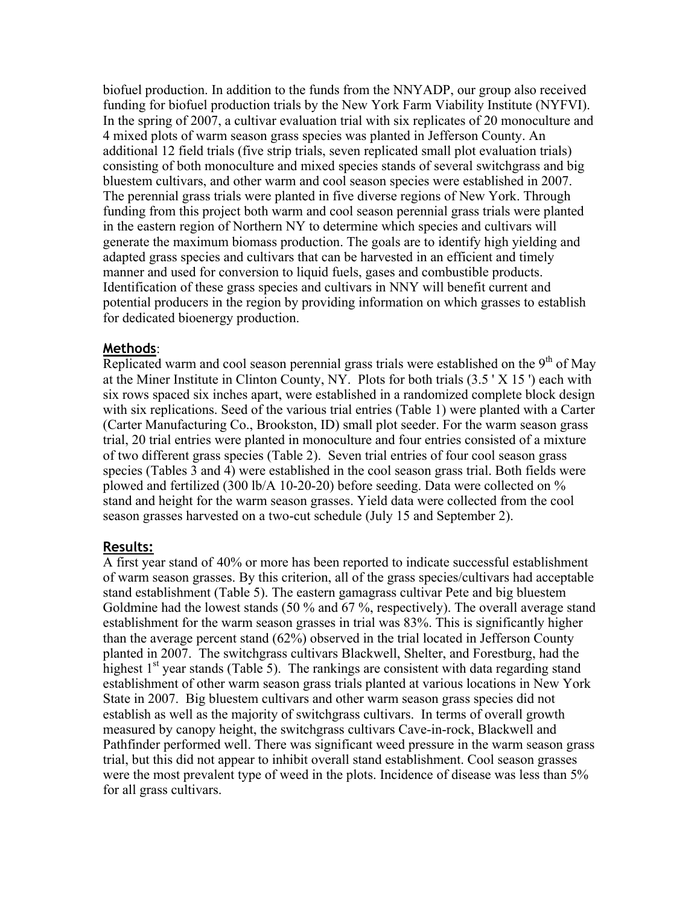biofuel production. In addition to the funds from the NNYADP, our group also received funding for biofuel production trials by the New York Farm Viability Institute (NYFVI). In the spring of 2007, a cultivar evaluation trial with six replicates of 20 monoculture and 4 mixed plots of warm season grass species was planted in Jefferson County. An additional 12 field trials (five strip trials, seven replicated small plot evaluation trials) consisting of both monoculture and mixed species stands of several switchgrass and big bluestem cultivars, and other warm and cool season species were established in 2007. The perennial grass trials were planted in five diverse regions of New York. Through funding from this project both warm and cool season perennial grass trials were planted in the eastern region of Northern NY to determine which species and cultivars will generate the maximum biomass production. The goals are to identify high yielding and adapted grass species and cultivars that can be harvested in an efficient and timely manner and used for conversion to liquid fuels, gases and combustible products. Identification of these grass species and cultivars in NNY will benefit current and potential producers in the region by providing information on which grasses to establish for dedicated bioenergy production.

#### **Methods**:

Replicated warm and cool season perennial grass trials were established on the  $9<sup>th</sup>$  of May at the Miner Institute in Clinton County, NY. Plots for both trials (3.5 ' X 15 ') each with six rows spaced six inches apart, were established in a randomized complete block design with six replications. Seed of the various trial entries (Table 1) were planted with a Carter (Carter Manufacturing Co., Brookston, ID) small plot seeder. For the warm season grass trial, 20 trial entries were planted in monoculture and four entries consisted of a mixture of two different grass species (Table 2). Seven trial entries of four cool season grass species (Tables 3 and 4) were established in the cool season grass trial. Both fields were plowed and fertilized (300 lb/A 10-20-20) before seeding. Data were collected on % stand and height for the warm season grasses. Yield data were collected from the cool season grasses harvested on a two-cut schedule (July 15 and September 2).

#### **Results:**

A first year stand of 40% or more has been reported to indicate successful establishment of warm season grasses. By this criterion, all of the grass species/cultivars had acceptable stand establishment (Table 5). The eastern gamagrass cultivar Pete and big bluestem Goldmine had the lowest stands (50 % and 67 %, respectively). The overall average stand establishment for the warm season grasses in trial was 83%. This is significantly higher than the average percent stand (62%) observed in the trial located in Jefferson County planted in 2007. The switchgrass cultivars Blackwell, Shelter, and Forestburg, had the highest  $1<sup>st</sup>$  year stands (Table 5). The rankings are consistent with data regarding stand establishment of other warm season grass trials planted at various locations in New York State in 2007. Big bluestem cultivars and other warm season grass species did not establish as well as the majority of switchgrass cultivars. In terms of overall growth measured by canopy height, the switchgrass cultivars Cave-in-rock, Blackwell and Pathfinder performed well. There was significant weed pressure in the warm season grass trial, but this did not appear to inhibit overall stand establishment. Cool season grasses were the most prevalent type of weed in the plots. Incidence of disease was less than 5% for all grass cultivars.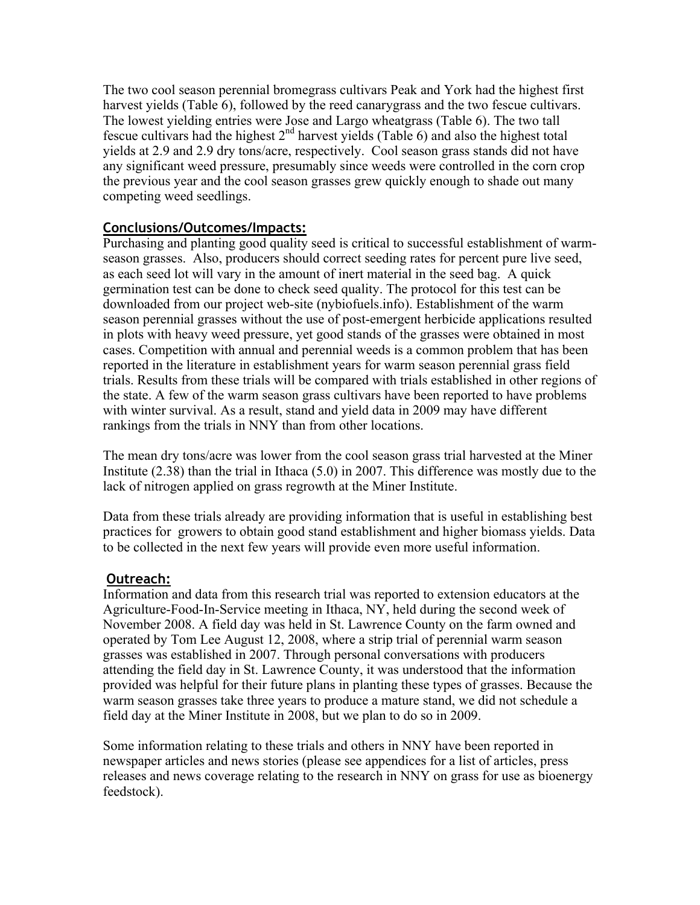The two cool season perennial bromegrass cultivars Peak and York had the highest first harvest yields (Table 6), followed by the reed canarygrass and the two fescue cultivars. The lowest yielding entries were Jose and Largo wheatgrass (Table 6). The two tall fescue cultivars had the highest  $2<sup>nd</sup>$  harvest yields (Table 6) and also the highest total yields at 2.9 and 2.9 dry tons/acre, respectively. Cool season grass stands did not have any significant weed pressure, presumably since weeds were controlled in the corn crop the previous year and the cool season grasses grew quickly enough to shade out many competing weed seedlings.

# **Conclusions/Outcomes/Impacts:**

Purchasing and planting good quality seed is critical to successful establishment of warmseason grasses. Also, producers should correct seeding rates for percent pure live seed, as each seed lot will vary in the amount of inert material in the seed bag. A quick germination test can be done to check seed quality. The protocol for this test can be downloaded from our project web-site (nybiofuels.info). Establishment of the warm season perennial grasses without the use of post-emergent herbicide applications resulted in plots with heavy weed pressure, yet good stands of the grasses were obtained in most cases. Competition with annual and perennial weeds is a common problem that has been reported in the literature in establishment years for warm season perennial grass field trials. Results from these trials will be compared with trials established in other regions of the state. A few of the warm season grass cultivars have been reported to have problems with winter survival. As a result, stand and yield data in 2009 may have different rankings from the trials in NNY than from other locations.

The mean dry tons/acre was lower from the cool season grass trial harvested at the Miner Institute (2.38) than the trial in Ithaca (5.0) in 2007. This difference was mostly due to the lack of nitrogen applied on grass regrowth at the Miner Institute.

Data from these trials already are providing information that is useful in establishing best practices for growers to obtain good stand establishment and higher biomass yields. Data to be collected in the next few years will provide even more useful information.

#### **Outreach:**

Information and data from this research trial was reported to extension educators at the Agriculture-Food-In-Service meeting in Ithaca, NY, held during the second week of November 2008. A field day was held in St. Lawrence County on the farm owned and operated by Tom Lee August 12, 2008, where a strip trial of perennial warm season grasses was established in 2007. Through personal conversations with producers attending the field day in St. Lawrence County, it was understood that the information provided was helpful for their future plans in planting these types of grasses. Because the warm season grasses take three years to produce a mature stand, we did not schedule a field day at the Miner Institute in 2008, but we plan to do so in 2009.

Some information relating to these trials and others in NNY have been reported in newspaper articles and news stories (please see appendices for a list of articles, press releases and news coverage relating to the research in NNY on grass for use as bioenergy feedstock).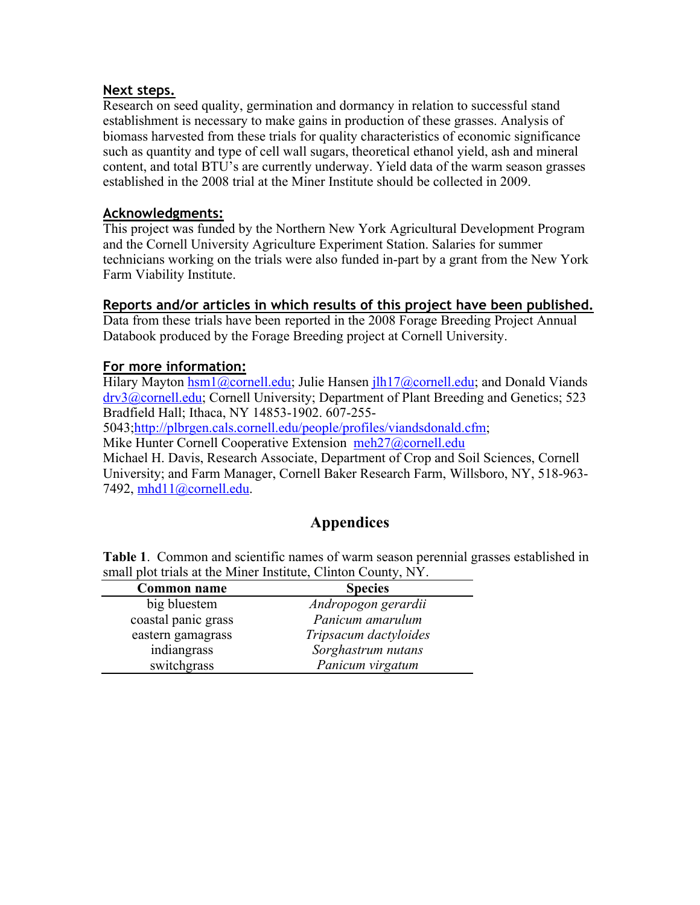#### **Next steps.**

Research on seed quality, germination and dormancy in relation to successful stand establishment is necessary to make gains in production of these grasses. Analysis of biomass harvested from these trials for quality characteristics of economic significance such as quantity and type of cell wall sugars, theoretical ethanol yield, ash and mineral content, and total BTU's are currently underway. Yield data of the warm season grasses established in the 2008 trial at the Miner Institute should be collected in 2009.

## **Acknowledgments:**

This project was funded by the Northern New York Agricultural Development Program and the Cornell University Agriculture Experiment Station. Salaries for summer technicians working on the trials were also funded in-part by a grant from the New York Farm Viability Institute.

#### **Reports and/or articles in which results of this project have been published.**

Data from these trials have been reported in the 2008 Forage Breeding Project Annual Databook produced by the Forage Breeding project at Cornell University.

# **For more information:**

Hilary Mayton hsm1@cornell.edu; Julie Hansen jlh17@cornell.edu; and Donald Viands drv3@cornell.edu; Cornell University; Department of Plant Breeding and Genetics; 523 Bradfield Hall; Ithaca, NY 14853-1902. 607-255-

5043;http://plbrgen.cals.cornell.edu/people/profiles/viandsdonald.cfm;

Mike Hunter Cornell Cooperative Extension meh27@cornell.edu

Michael H. Davis, Research Associate, Department of Crop and Soil Sciences, Cornell University; and Farm Manager, Cornell Baker Research Farm, Willsboro, NY, 518-963- 7492, mhd11@cornell.edu.

# **Appendices**

**Table 1**. Common and scientific names of warm season perennial grasses established in small plot trials at the Miner Institute, Clinton County, NY.

| Common name         | <b>Species</b>        |
|---------------------|-----------------------|
| big bluestem        | Andropogon gerardii   |
| coastal panic grass | Panicum amarulum      |
| eastern gamagrass   | Tripsacum dactyloides |
| indiangrass         | Sorghastrum nutans    |
| switchgrass         | Panicum virgatum      |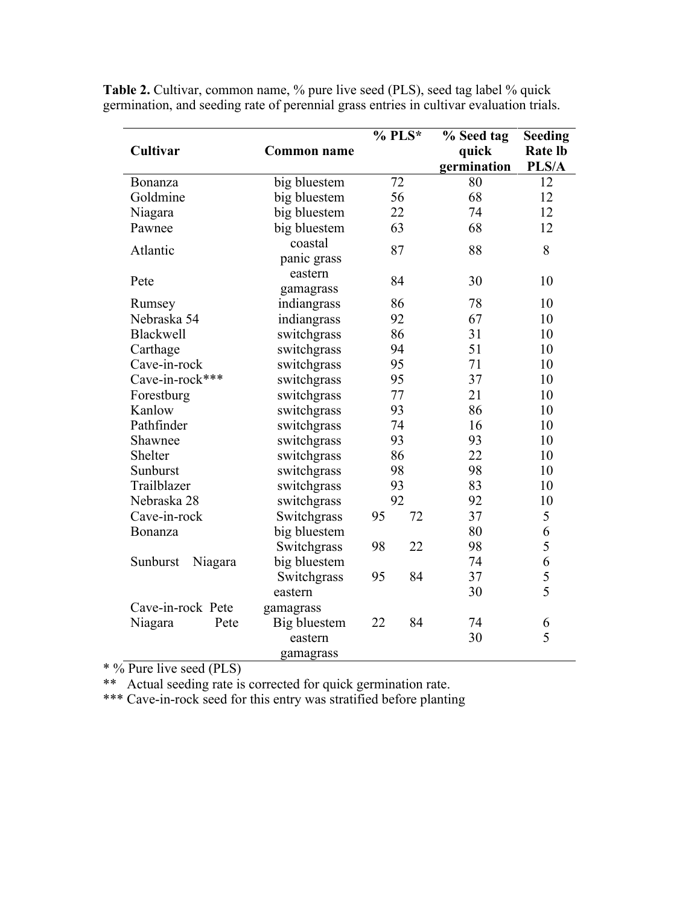|                     |                                 | $%$ PLS* | % Seed tag  | <b>Seeding</b> |
|---------------------|---------------------------------|----------|-------------|----------------|
| Cultivar            | <b>Common name</b>              |          | quick       | <b>Rate lb</b> |
|                     |                                 |          | germination | PLS/A          |
| Bonanza             | big bluestem                    | 72       | 80          | 12             |
| Goldmine            | big bluestem                    | 56       | 68          | 12             |
| Niagara             | big bluestem                    | 22       | 74          | 12             |
| Pawnee              | big bluestem                    | 63       | 68          | 12             |
| Atlantic            | coastal                         | 87       | 88          | 8              |
|                     | panic grass                     |          |             |                |
| Pete                | eastern                         | 84       | 30          | 10             |
|                     | gamagrass                       |          |             |                |
| Rumsey              | indiangrass                     | 86       | 78          | 10             |
| Nebraska 54         | indiangrass                     | 92       | 67          | 10             |
| <b>Blackwell</b>    | switchgrass                     | 86       | 31          | 10             |
| Carthage            | switchgrass                     | 94       | 51          | 10             |
| Cave-in-rock        | switchgrass                     | 95       | 71          | 10             |
| Cave-in-rock***     | switchgrass                     | 95       | 37          | 10             |
| Forestburg          | switchgrass                     | 77       | 21          | 10             |
| Kanlow              | switchgrass                     | 93       | 86          | 10             |
| Pathfinder          | switchgrass                     | 74       | 16          | 10             |
| Shawnee             | switchgrass                     | 93       | 93          | 10             |
| Shelter             | switchgrass                     | 86       | 22          | 10             |
| Sunburst            | switchgrass                     | 98       | 98          | 10             |
| Trailblazer         | switchgrass                     | 93       | 83          | 10             |
| Nebraska 28         | switchgrass                     | 92       | 92          | 10             |
| Cave-in-rock        | Switchgrass<br>95<br>72         |          | 37          | 5              |
| Bonanza             | big bluestem                    |          | 80          | 6              |
|                     | Switchgrass                     | 22<br>98 | 98          | 5              |
| Sunburst<br>Niagara | big bluestem                    |          | 74          | 6              |
|                     | Switchgrass                     | 84<br>95 | 37          | 5              |
|                     | eastern                         |          | 30          | 5              |
| Cave-in-rock Pete   | gamagrass                       |          |             |                |
| Pete<br>Niagara     | 84<br><b>Big bluestem</b><br>22 |          | 74          | 6              |
|                     | eastern                         |          | 30          | 5              |
|                     | gamagrass                       |          |             |                |

**Table 2.** Cultivar, common name, % pure live seed (PLS), seed tag label % quick germination, and seeding rate of perennial grass entries in cultivar evaluation trials.

\* % Pure live seed (PLS)

\*\* Actual seeding rate is corrected for quick germination rate.

\*\*\* Cave-in-rock seed for this entry was stratified before planting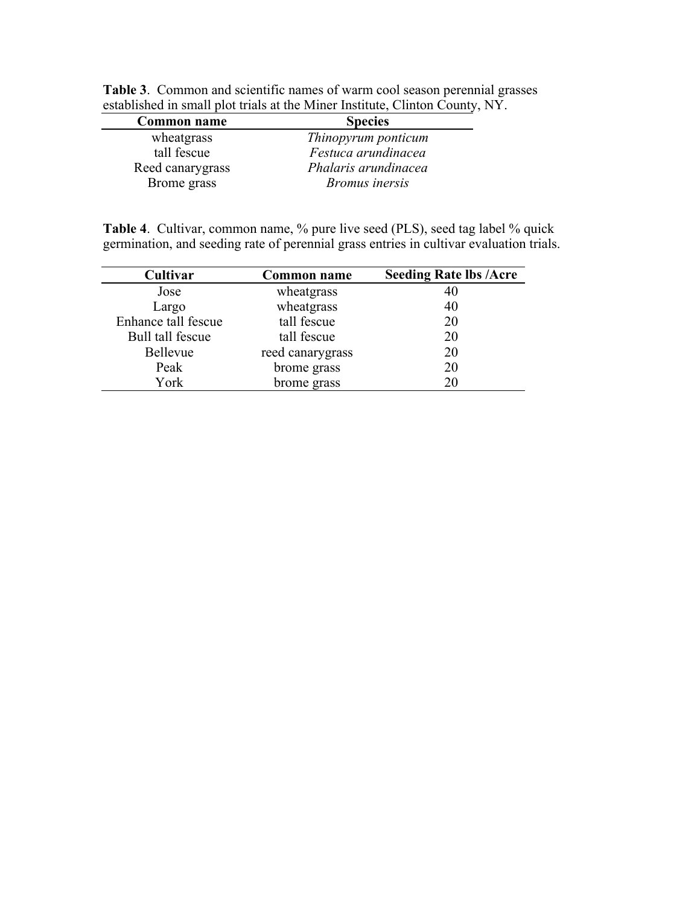| <b>Common name</b> | <b>Species</b>        |
|--------------------|-----------------------|
| wheatgrass         | Thinopyrum ponticum   |
| tall fescue        | Festuca arundinacea   |
| Reed canarygrass   | Phalaris arundinacea  |
| Brome grass        | <b>Bromus</b> inersis |

**Table 3**. Common and scientific names of warm cool season perennial grasses established in small plot trials at the Miner Institute, Clinton County, NY.

**Table 4**. Cultivar, common name, % pure live seed (PLS), seed tag label % quick germination, and seeding rate of perennial grass entries in cultivar evaluation trials.

| Cultivar            | <b>Common name</b> | <b>Seeding Rate lbs /Acre</b> |
|---------------------|--------------------|-------------------------------|
| Jose                | wheatgrass         | 40                            |
| Largo               | wheatgrass         | 40                            |
| Enhance tall fescue | tall fescue        | 20                            |
| Bull tall fescue    | tall fescue        | 20                            |
| <b>Bellevue</b>     | reed canarygrass   | 20                            |
| Peak                | brome grass        | 20                            |
| York                | brome grass        | 20                            |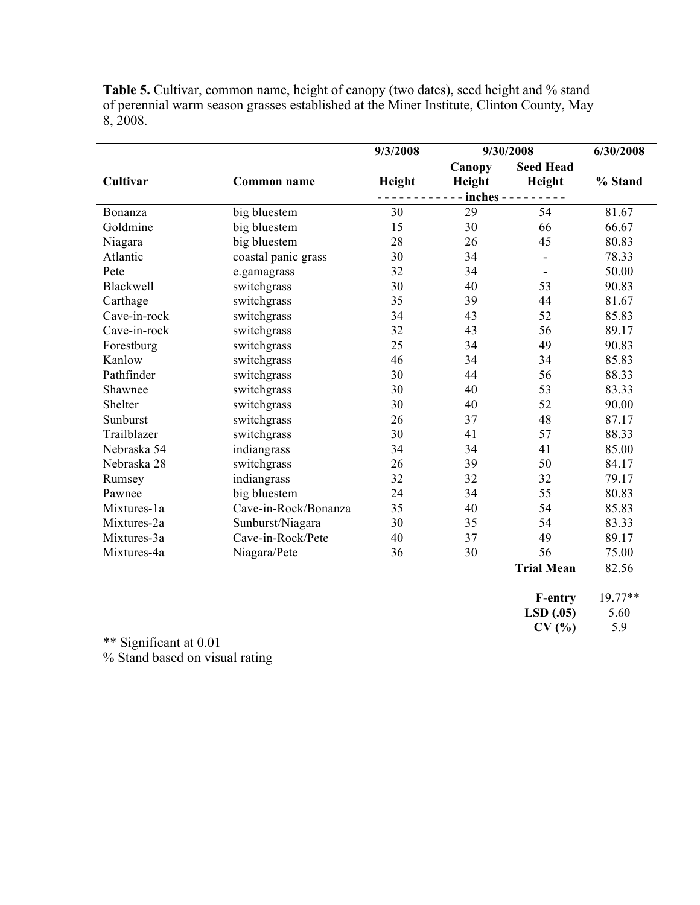|                  |                      | 9/3/2008 |        | 9/30/2008                | 6/30/2008 |
|------------------|----------------------|----------|--------|--------------------------|-----------|
|                  |                      |          | Canopy | <b>Seed Head</b>         |           |
| Cultivar         | <b>Common name</b>   | Height   | Height | Height                   | % Stand   |
|                  |                      |          |        | $inches$ - - - - - - - - |           |
| Bonanza          | big bluestem         | 30       | 29     | 54                       | 81.67     |
| Goldmine         | big bluestem         | 15       | 30     | 66                       | 66.67     |
| Niagara          | big bluestem         | 28       | 26     | 45                       | 80.83     |
| Atlantic         | coastal panic grass  | 30       | 34     | $\blacksquare$           | 78.33     |
| Pete             | e.gamagrass          | 32       | 34     |                          | 50.00     |
| <b>Blackwell</b> | switchgrass          | 30       | 40     | 53                       | 90.83     |
| Carthage         | switchgrass          | 35       | 39     | 44                       | 81.67     |
| Cave-in-rock     | switchgrass          | 34       | 43     | 52                       | 85.83     |
| Cave-in-rock     | switchgrass          | 32       | 43     | 56                       | 89.17     |
| Forestburg       | switchgrass          | 25       | 34     | 49                       | 90.83     |
| Kanlow           | switchgrass          | 46       | 34     | 34                       | 85.83     |
| Pathfinder       | switchgrass          | 30       | 44     | 56                       | 88.33     |
| Shawnee          | switchgrass          | 30       | 40     | 53                       | 83.33     |
| Shelter          | switchgrass          | 30       | 40     | 52                       | 90.00     |
| Sunburst         | switchgrass          | 26       | 37     | 48                       | 87.17     |
| Trailblazer      | switchgrass          | 30       | 41     | 57                       | 88.33     |
| Nebraska 54      | indiangrass          | 34       | 34     | 41                       | 85.00     |
| Nebraska 28      | switchgrass          | 26       | 39     | 50                       | 84.17     |
| Rumsey           | indiangrass          | 32       | 32     | 32                       | 79.17     |
| Pawnee           | big bluestem         | 24       | 34     | 55                       | 80.83     |
| Mixtures-1a      | Cave-in-Rock/Bonanza | 35       | 40     | 54                       | 85.83     |
| Mixtures-2a      | Sunburst/Niagara     | 30       | 35     | 54                       | 83.33     |
| Mixtures-3a      | Cave-in-Rock/Pete    | 40       | 37     | 49                       | 89.17     |
| Mixtures-4a      | Niagara/Pete         | 36       | 30     | 56                       | 75.00     |
|                  |                      |          |        | <b>Trial Mean</b>        | 82.56     |
|                  |                      |          |        | <b>F-entry</b>           | $19.77**$ |
|                  |                      |          |        | LSD(.05)                 | 5.60      |
|                  |                      |          |        | CV(%)                    | 5.9       |

**Table 5.** Cultivar, common name, height of canopy (two dates), seed height and % stand of perennial warm season grasses established at the Miner Institute, Clinton County, May 8, 2008.

\*\* Significant at 0.01

% Stand based on visual rating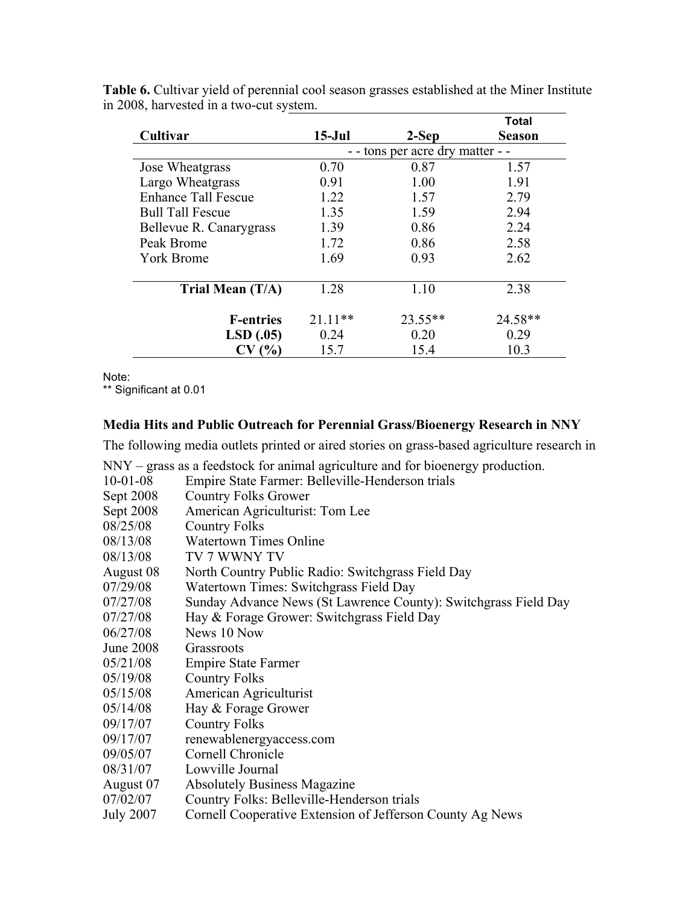|                            |           |                                  | Total         |
|----------------------------|-----------|----------------------------------|---------------|
| Cultivar                   | $15-Jul$  | 2-Sep                            | <b>Season</b> |
|                            |           | - - tons per acre dry matter - - |               |
| Jose Wheatgrass            | 0.70      | 0.87                             | 1.57          |
| Largo Wheatgrass           | 0.91      | 1.00                             | 1.91          |
| <b>Enhance Tall Fescue</b> | 1.22      | 1.57                             | 2.79          |
| <b>Bull Tall Fescue</b>    | 1.35      | 1.59                             | 2.94          |
| Bellevue R. Canarygrass    | 1.39      | 0.86                             | 2.24          |
| Peak Brome                 | 1.72      | 0.86                             | 2.58          |
| <b>York Brome</b>          | 1.69      | 0.93                             | 2.62          |
| Trial Mean $(T/A)$         | 1.28      | 1.10                             | 2.38          |
| <b>F-entries</b>           | $21.11**$ | $23.55**$                        | 24.58**       |
| LSD(.05)                   | 0.24      | 0.20                             | 0.29          |
| CV(%)                      | 15.7      | 15.4                             | 10.3          |

**Table 6.** Cultivar yield of perennial cool season grasses established at the Miner Institute in 2008, harvested in a two-cut system.

Note:

\*\* Significant at 0.01

#### **Media Hits and Public Outreach for Perennial Grass/Bioenergy Research in NNY**

The following media outlets printed or aired stories on grass-based agriculture research in

NNY – grass as a feedstock for animal agriculture and for bioenergy production.<br>10-01-08 Empire State Farmer: Belleville-Henderson trials

| $10-01-08$       | Empire State Farmer: Belleville-Henderson trials                |
|------------------|-----------------------------------------------------------------|
| Sept 2008        | <b>Country Folks Grower</b>                                     |
| Sept 2008        | American Agriculturist: Tom Lee                                 |
| 08/25/08         | <b>Country Folks</b>                                            |
| 08/13/08         | <b>Watertown Times Online</b>                                   |
| 08/13/08         | TV 7 WWNY TV                                                    |
| August 08        | North Country Public Radio: Switchgrass Field Day               |
| 07/29/08         | Watertown Times: Switchgrass Field Day                          |
| 07/27/08         | Sunday Advance News (St Lawrence County): Switchgrass Field Day |
| 07/27/08         | Hay & Forage Grower: Switchgrass Field Day                      |
| 06/27/08         | News 10 Now                                                     |
| <b>June 2008</b> | Grassroots                                                      |
| 05/21/08         | <b>Empire State Farmer</b>                                      |
| 05/19/08         | <b>Country Folks</b>                                            |
| 05/15/08         | American Agriculturist                                          |
| 05/14/08         | Hay & Forage Grower                                             |
| 09/17/07         | <b>Country Folks</b>                                            |
| 09/17/07         | renewablenergyaccess.com                                        |
| 09/05/07         | Cornell Chronicle                                               |
| 08/31/07         | Lowville Journal                                                |
| August 07        | <b>Absolutely Business Magazine</b>                             |
| 07/02/07         | Country Folks: Belleville-Henderson trials                      |
| <b>July 2007</b> | Cornell Cooperative Extension of Jefferson County Ag News       |
|                  |                                                                 |